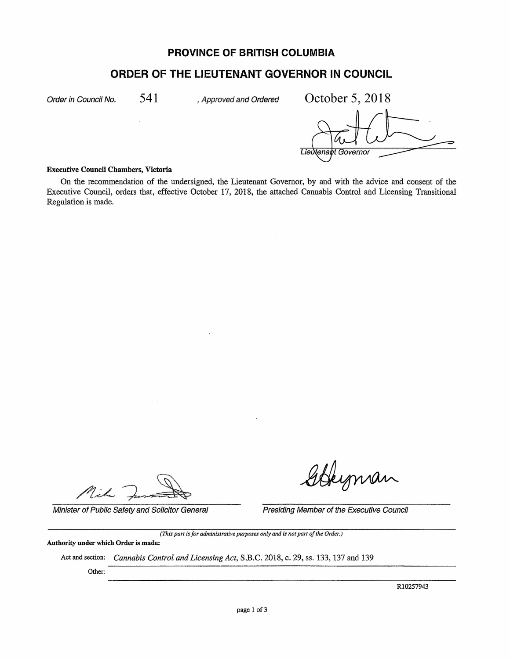## **PROVINCE OF BRITISH COLUMBIA**

# **ORDER OF THE LIEUTENANT GOVERNOR IN COUNCIL**

Order in Council No.  $541$ , Approved and Ordered

541 *Approved and Ordered* October 5, 2018 Lieutenant Governor

#### Executive Council Chambers, Victoria

On the recommendation of the undersigned, the Lieutenant Governor, by and with the advice and consent of the Executive Council, orders that, effective October 17, 2018, the attached Cannabis Control and Licensing Transitional Regulation is made.

nih

Leyman

Minister of Public Safety and Solicitor General Presiding Member of the Executive Council

*(This part is for administrative purposes only and is not part of the Order)* 

Authority under which Order is made:

Act and section: *Cannabis Control and Licensing Act,* S.B.C. 2018, c. 29, ss. 133, 137 and 139

Other:

Rl0257943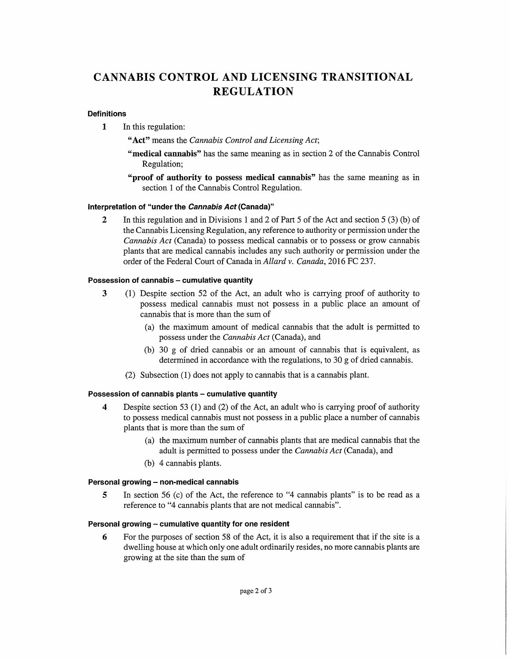# **CANNABIS CONTROL AND LICENSING TRANSITIONAL REGULATION**

#### **Definitions**

**1** In this regulation:

**"Act"** means the *Cannabis Control and Licensing Act;* 

- **"medical cannabis"** has the same meaning as in section 2 of the Cannabis Control Regulation;
- **"proof of authority to** possess **medical cannabis"** has the same meaning as in section 1 of the Cannabis Control Regulation.

#### **Interpretation of "under the Cannabis Act (Canada)''**

**2** In this regulation and in Divisions 1 and 2 of Part 5 of the Act and section 5 (3) (b) of the Cannabis Licensing Regulation, any reference to authority or permission under the *Cannabis Act* (Canada) to possess medical cannabis or to possess or grow cannabis plants that are medical cannabis includes any such authority or permission under the order of the Federal Court of Canada in *Allard v. Canada,* 2016 FC 237.

#### **Possession of cannabis - cumulative quantity**

- 3 (1) Despite section 52 of the Act, an adult who is carrying proof of authority to possess medical cannabis must not possess in a public place an amount of cannabis that is more than the sum of
	- (a) the maximum amount of medical cannabis that the adult is permitted to possess under the *Cannabis Act* (Canada), and
	- (b) 30 g of dried cannabis or an amount of cannabis that is equivalent, as determined in accordance with the regulations, to 30 g of dried cannabis.
	- (2) Subsection (1) does not apply to cannabis that is a cannabis plant.

#### **Possession of cannabis plants - cumulative quantity**

- **4** Despite section 53 (1) and (2) of the Act, an adult who is carrying proof of authority to possess medical cannabis must not possess in a public place a number of cannabis plants that is more than the sum of
	- (a) the maximum number of cannabis plants that are medical cannabis that the adult is permitted to possess under the *Cannabis Act* (Canada), and
	- (b) 4 cannabis plants.

#### **Personal growing - non-medical cannabis**

**5** In section 56 (c) of the Act, the reference to "4 cannabis plants" is to be read as a reference to "4 cannabis plants that are not medical cannabis".

#### **Personal growing - cumulative quantity for one resident**

**6** For the purposes of section 58 of the Act, it is also a requirement that if the site is a dwelling house at which only one adult ordinarily resides, no more cannabis plants are growing at the site than the sum of